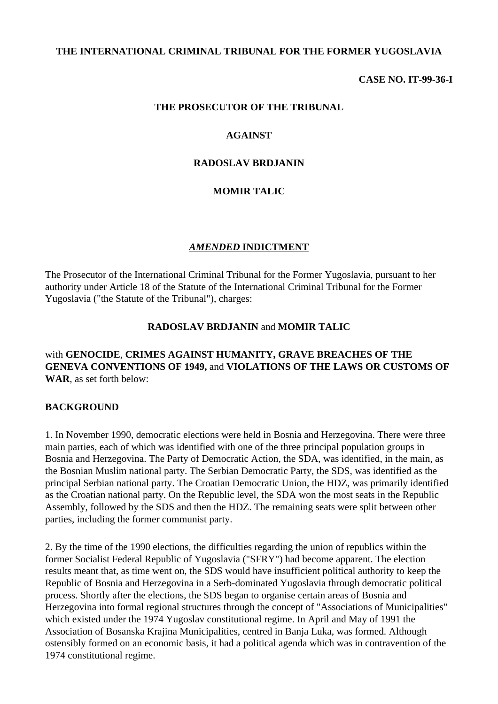### **THE INTERNATIONAL CRIMINAL TRIBUNAL FOR THE FORMER YUGOSLAVIA**

### **CASE NO. IT-99-36-I**

#### **THE PROSECUTOR OF THE TRIBUNAL**

#### **AGAINST**

#### **RADOSLAV BRDJANIN**

### **MOMIR TALIC**

#### *AMENDED* **INDICTMENT**

The Prosecutor of the International Criminal Tribunal for the Former Yugoslavia, pursuant to her authority under Article 18 of the Statute of the International Criminal Tribunal for the Former Yugoslavia ("the Statute of the Tribunal"), charges:

### **RADOSLAV BRDJANIN** and **MOMIR TALIC**

### with **GENOCIDE**, **CRIMES AGAINST HUMANITY, GRAVE BREACHES OF THE GENEVA CONVENTIONS OF 1949,** and **VIOLATIONS OF THE LAWS OR CUSTOMS OF WAR**, as set forth below:

#### **BACKGROUND**

1. In November 1990, democratic elections were held in Bosnia and Herzegovina. There were three main parties, each of which was identified with one of the three principal population groups in Bosnia and Herzegovina. The Party of Democratic Action, the SDA, was identified, in the main, as the Bosnian Muslim national party. The Serbian Democratic Party, the SDS, was identified as the principal Serbian national party. The Croatian Democratic Union, the HDZ, was primarily identified as the Croatian national party. On the Republic level, the SDA won the most seats in the Republic Assembly, followed by the SDS and then the HDZ. The remaining seats were split between other parties, including the former communist party.

2. By the time of the 1990 elections, the difficulties regarding the union of republics within the former Socialist Federal Republic of Yugoslavia ("SFRY") had become apparent. The election results meant that, as time went on, the SDS would have insufficient political authority to keep the Republic of Bosnia and Herzegovina in a Serb-dominated Yugoslavia through democratic political process. Shortly after the elections, the SDS began to organise certain areas of Bosnia and Herzegovina into formal regional structures through the concept of "Associations of Municipalities" which existed under the 1974 Yugoslav constitutional regime. In April and May of 1991 the Association of Bosanska Krajina Municipalities, centred in Banja Luka, was formed. Although ostensibly formed on an economic basis, it had a political agenda which was in contravention of the 1974 constitutional regime.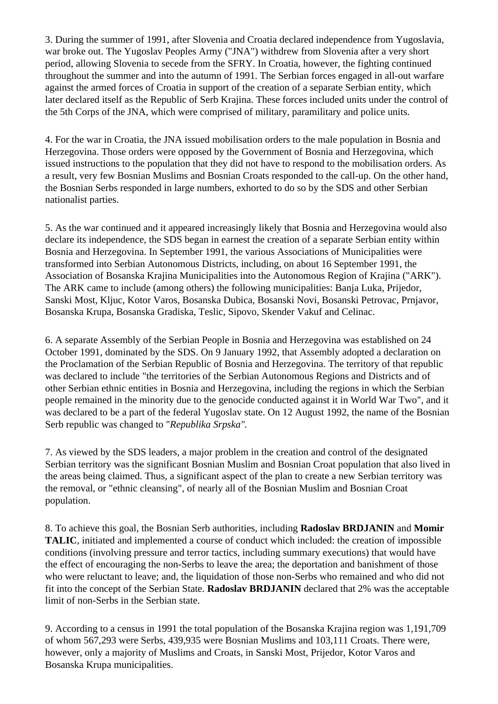3. During the summer of 1991, after Slovenia and Croatia declared independence from Yugoslavia, war broke out. The Yugoslav Peoples Army ("JNA") withdrew from Slovenia after a very short period, allowing Slovenia to secede from the SFRY. In Croatia, however, the fighting continued throughout the summer and into the autumn of 1991. The Serbian forces engaged in all-out warfare against the armed forces of Croatia in support of the creation of a separate Serbian entity, which later declared itself as the Republic of Serb Krajina. These forces included units under the control of the 5th Corps of the JNA, which were comprised of military, paramilitary and police units.

4. For the war in Croatia, the JNA issued mobilisation orders to the male population in Bosnia and Herzegovina. Those orders were opposed by the Government of Bosnia and Herzegovina, which issued instructions to the population that they did not have to respond to the mobilisation orders. As a result, very few Bosnian Muslims and Bosnian Croats responded to the call-up. On the other hand, the Bosnian Serbs responded in large numbers, exhorted to do so by the SDS and other Serbian nationalist parties.

5. As the war continued and it appeared increasingly likely that Bosnia and Herzegovina would also declare its independence, the SDS began in earnest the creation of a separate Serbian entity within Bosnia and Herzegovina. In September 1991, the various Associations of Municipalities were transformed into Serbian Autonomous Districts, including, on about 16 September 1991, the Association of Bosanska Krajina Municipalities into the Autonomous Region of Krajina ("ARK"). The ARK came to include (among others) the following municipalities: Banja Luka, Prijedor, Sanski Most, Kljuc, Kotor Varos, Bosanska Dubica, Bosanski Novi, Bosanski Petrovac, Prnjavor, Bosanska Krupa, Bosanska Gradiska, Teslic, Sipovo, Skender Vakuf and Celinac.

6. A separate Assembly of the Serbian People in Bosnia and Herzegovina was established on 24 October 1991, dominated by the SDS. On 9 January 1992, that Assembly adopted a declaration on the Proclamation of the Serbian Republic of Bosnia and Herzegovina. The territory of that republic was declared to include "the territories of the Serbian Autonomous Regions and Districts and of other Serbian ethnic entities in Bosnia and Herzegovina, including the regions in which the Serbian people remained in the minority due to the genocide conducted against it in World War Two", and it was declared to be a part of the federal Yugoslav state. On 12 August 1992, the name of the Bosnian Serb republic was changed to "*Republika Srpska".*

7. As viewed by the SDS leaders, a major problem in the creation and control of the designated Serbian territory was the significant Bosnian Muslim and Bosnian Croat population that also lived in the areas being claimed. Thus, a significant aspect of the plan to create a new Serbian territory was the removal, or "ethnic cleansing", of nearly all of the Bosnian Muslim and Bosnian Croat population.

8. To achieve this goal, the Bosnian Serb authorities, including **Radoslav BRDJANIN** and **Momir TALIC**, initiated and implemented a course of conduct which included: the creation of impossible conditions (involving pressure and terror tactics, including summary executions) that would have the effect of encouraging the non-Serbs to leave the area; the deportation and banishment of those who were reluctant to leave; and, the liquidation of those non-Serbs who remained and who did not fit into the concept of the Serbian State. **Radoslav BRDJANIN** declared that 2% was the acceptable limit of non-Serbs in the Serbian state.

9. According to a census in 1991 the total population of the Bosanska Krajina region was 1,191,709 of whom 567,293 were Serbs, 439,935 were Bosnian Muslims and 103,111 Croats. There were, however, only a majority of Muslims and Croats, in Sanski Most, Prijedor, Kotor Varos and Bosanska Krupa municipalities.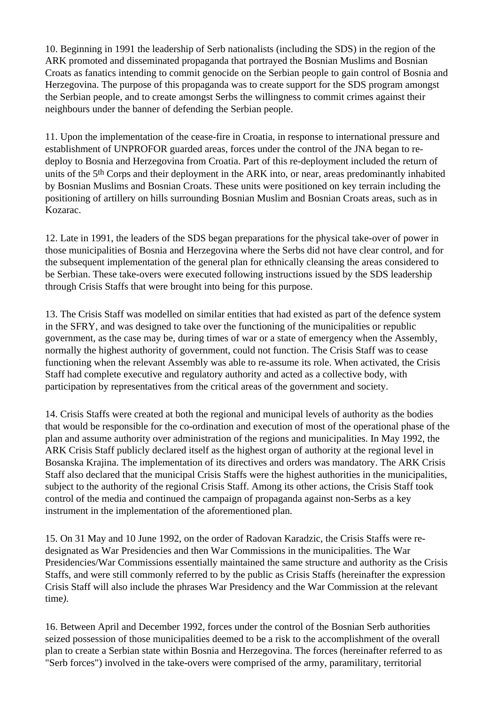10. Beginning in 1991 the leadership of Serb nationalists (including the SDS) in the region of the ARK promoted and disseminated propaganda that portrayed the Bosnian Muslims and Bosnian Croats as fanatics intending to commit genocide on the Serbian people to gain control of Bosnia and Herzegovina. The purpose of this propaganda was to create support for the SDS program amongst the Serbian people, and to create amongst Serbs the willingness to commit crimes against their neighbours under the banner of defending the Serbian people.

11. Upon the implementation of the cease-fire in Croatia, in response to international pressure and establishment of UNPROFOR guarded areas, forces under the control of the JNA began to redeploy to Bosnia and Herzegovina from Croatia. Part of this re-deployment included the return of units of the 5<sup>th</sup> Corps and their deployment in the ARK into, or near, areas predominantly inhabited by Bosnian Muslims and Bosnian Croats. These units were positioned on key terrain including the positioning of artillery on hills surrounding Bosnian Muslim and Bosnian Croats areas, such as in Kozarac.

12. Late in 1991, the leaders of the SDS began preparations for the physical take-over of power in those municipalities of Bosnia and Herzegovina where the Serbs did not have clear control, and for the subsequent implementation of the general plan for ethnically cleansing the areas considered to be Serbian. These take-overs were executed following instructions issued by the SDS leadership through Crisis Staffs that were brought into being for this purpose.

13. The Crisis Staff was modelled on similar entities that had existed as part of the defence system in the SFRY, and was designed to take over the functioning of the municipalities or republic government, as the case may be, during times of war or a state of emergency when the Assembly, normally the highest authority of government, could not function. The Crisis Staff was to cease functioning when the relevant Assembly was able to re-assume its role. When activated, the Crisis Staff had complete executive and regulatory authority and acted as a collective body, with participation by representatives from the critical areas of the government and society.

14. Crisis Staffs were created at both the regional and municipal levels of authority as the bodies that would be responsible for the co-ordination and execution of most of the operational phase of the plan and assume authority over administration of the regions and municipalities. In May 1992, the ARK Crisis Staff publicly declared itself as the highest organ of authority at the regional level in Bosanska Krajina. The implementation of its directives and orders was mandatory. The ARK Crisis Staff also declared that the municipal Crisis Staffs were the highest authorities in the municipalities, subject to the authority of the regional Crisis Staff. Among its other actions, the Crisis Staff took control of the media and continued the campaign of propaganda against non-Serbs as a key instrument in the implementation of the aforementioned plan.

15. On 31 May and 10 June 1992, on the order of Radovan Karadzic, the Crisis Staffs were redesignated as War Presidencies and then War Commissions in the municipalities. The War Presidencies/War Commissions essentially maintained the same structure and authority as the Crisis Staffs, and were still commonly referred to by the public as Crisis Staffs (hereinafter the expression Crisis Staff will also include the phrases War Presidency and the War Commission at the relevant time*).*

16. Between April and December 1992, forces under the control of the Bosnian Serb authorities seized possession of those municipalities deemed to be a risk to the accomplishment of the overall plan to create a Serbian state within Bosnia and Herzegovina. The forces (hereinafter referred to as "Serb forces") involved in the take-overs were comprised of the army, paramilitary, territorial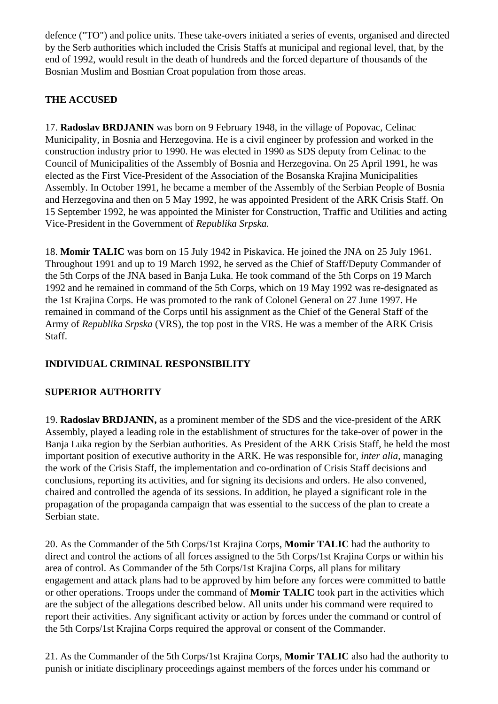defence ("TO") and police units. These take-overs initiated a series of events, organised and directed by the Serb authorities which included the Crisis Staffs at municipal and regional level, that, by the end of 1992, would result in the death of hundreds and the forced departure of thousands of the Bosnian Muslim and Bosnian Croat population from those areas.

## **THE ACCUSED**

17. **Radoslav BRDJANIN** was born on 9 February 1948, in the village of Popovac, Celinac Municipality, in Bosnia and Herzegovina. He is a civil engineer by profession and worked in the construction industry prior to 1990. He was elected in 1990 as SDS deputy from Celinac to the Council of Municipalities of the Assembly of Bosnia and Herzegovina. On 25 April 1991, he was elected as the First Vice-President of the Association of the Bosanska Krajina Municipalities Assembly. In October 1991, he became a member of the Assembly of the Serbian People of Bosnia and Herzegovina and then on 5 May 1992, he was appointed President of the ARK Crisis Staff. On 15 September 1992, he was appointed the Minister for Construction, Traffic and Utilities and acting Vice-President in the Government of *Republika Srpska.*

18. **Momir TALIC** was born on 15 July 1942 in Piskavica. He joined the JNA on 25 July 1961. Throughout 1991 and up to 19 March 1992, he served as the Chief of Staff/Deputy Commander of the 5th Corps of the JNA based in Banja Luka. He took command of the 5th Corps on 19 March 1992 and he remained in command of the 5th Corps, which on 19 May 1992 was re-designated as the 1st Krajina Corps. He was promoted to the rank of Colonel General on 27 June 1997. He remained in command of the Corps until his assignment as the Chief of the General Staff of the Army of *Republika Srpska* (VRS), the top post in the VRS. He was a member of the ARK Crisis Staff.

# **INDIVIDUAL CRIMINAL RESPONSIBILITY**

## **SUPERIOR AUTHORITY**

19. **Radoslav BRDJANIN,** as a prominent member of the SDS and the vice-president of the ARK Assembly, played a leading role in the establishment of structures for the take-over of power in the Banja Luka region by the Serbian authorities. As President of the ARK Crisis Staff, he held the most important position of executive authority in the ARK. He was responsible for, *inter alia*, managing the work of the Crisis Staff, the implementation and co-ordination of Crisis Staff decisions and conclusions, reporting its activities, and for signing its decisions and orders. He also convened, chaired and controlled the agenda of its sessions. In addition, he played a significant role in the propagation of the propaganda campaign that was essential to the success of the plan to create a Serbian state.

20. As the Commander of the 5th Corps/1st Krajina Corps, **Momir TALIC** had the authority to direct and control the actions of all forces assigned to the 5th Corps/1st Krajina Corps or within his area of control. As Commander of the 5th Corps/1st Krajina Corps, all plans for military engagement and attack plans had to be approved by him before any forces were committed to battle or other operations. Troops under the command of **Momir TALIC** took part in the activities which are the subject of the allegations described below. All units under his command were required to report their activities. Any significant activity or action by forces under the command or control of the 5th Corps/1st Krajina Corps required the approval or consent of the Commander.

21. As the Commander of the 5th Corps/1st Krajina Corps, **Momir TALIC** also had the authority to punish or initiate disciplinary proceedings against members of the forces under his command or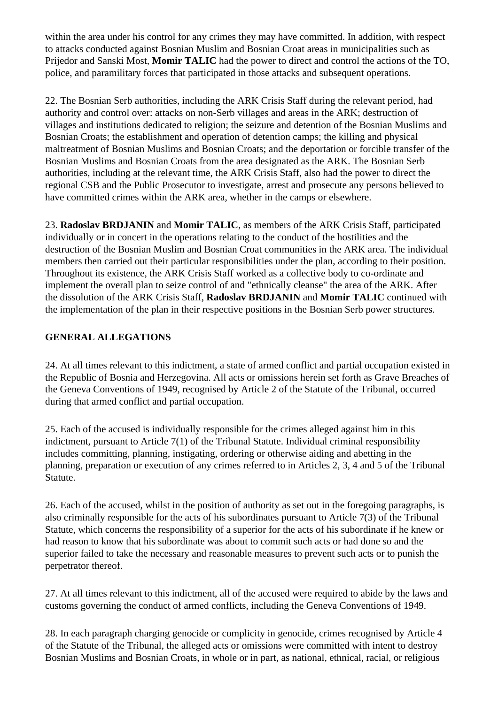within the area under his control for any crimes they may have committed. In addition, with respect to attacks conducted against Bosnian Muslim and Bosnian Croat areas in municipalities such as Prijedor and Sanski Most, **Momir TALIC** had the power to direct and control the actions of the TO, police, and paramilitary forces that participated in those attacks and subsequent operations.

22. The Bosnian Serb authorities, including the ARK Crisis Staff during the relevant period, had authority and control over: attacks on non-Serb villages and areas in the ARK; destruction of villages and institutions dedicated to religion; the seizure and detention of the Bosnian Muslims and Bosnian Croats; the establishment and operation of detention camps; the killing and physical maltreatment of Bosnian Muslims and Bosnian Croats; and the deportation or forcible transfer of the Bosnian Muslims and Bosnian Croats from the area designated as the ARK. The Bosnian Serb authorities, including at the relevant time, the ARK Crisis Staff, also had the power to direct the regional CSB and the Public Prosecutor to investigate, arrest and prosecute any persons believed to have committed crimes within the ARK area, whether in the camps or elsewhere.

23. **Radoslav BRDJANIN** and **Momir TALIC**, as members of the ARK Crisis Staff, participated individually or in concert in the operations relating to the conduct of the hostilities and the destruction of the Bosnian Muslim and Bosnian Croat communities in the ARK area. The individual members then carried out their particular responsibilities under the plan, according to their position. Throughout its existence, the ARK Crisis Staff worked as a collective body to co-ordinate and implement the overall plan to seize control of and "ethnically cleanse" the area of the ARK. After the dissolution of the ARK Crisis Staff, **Radoslav BRDJANIN** and **Momir TALIC** continued with the implementation of the plan in their respective positions in the Bosnian Serb power structures.

### **GENERAL ALLEGATIONS**

24. At all times relevant to this indictment, a state of armed conflict and partial occupation existed in the Republic of Bosnia and Herzegovina. All acts or omissions herein set forth as Grave Breaches of the Geneva Conventions of 1949, recognised by Article 2 of the Statute of the Tribunal, occurred during that armed conflict and partial occupation.

25. Each of the accused is individually responsible for the crimes alleged against him in this indictment, pursuant to Article 7(1) of the Tribunal Statute. Individual criminal responsibility includes committing, planning, instigating, ordering or otherwise aiding and abetting in the planning, preparation or execution of any crimes referred to in Articles 2, 3, 4 and 5 of the Tribunal Statute.

26. Each of the accused, whilst in the position of authority as set out in the foregoing paragraphs, is also criminally responsible for the acts of his subordinates pursuant to Article 7(3) of the Tribunal Statute, which concerns the responsibility of a superior for the acts of his subordinate if he knew or had reason to know that his subordinate was about to commit such acts or had done so and the superior failed to take the necessary and reasonable measures to prevent such acts or to punish the perpetrator thereof.

27. At all times relevant to this indictment, all of the accused were required to abide by the laws and customs governing the conduct of armed conflicts, including the Geneva Conventions of 1949.

28. In each paragraph charging genocide or complicity in genocide, crimes recognised by Article 4 of the Statute of the Tribunal, the alleged acts or omissions were committed with intent to destroy Bosnian Muslims and Bosnian Croats, in whole or in part, as national, ethnical, racial, or religious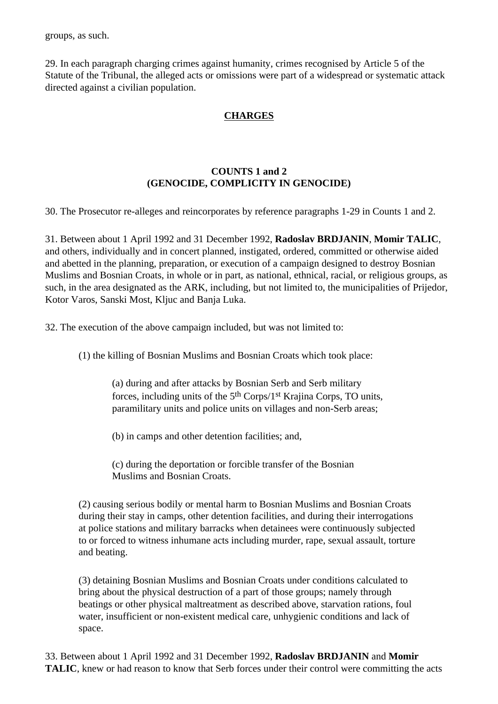groups, as such.

29. In each paragraph charging crimes against humanity, crimes recognised by Article 5 of the Statute of the Tribunal, the alleged acts or omissions were part of a widespread or systematic attack directed against a civilian population.

### **CHARGES**

## **COUNTS 1 and 2 (GENOCIDE, COMPLICITY IN GENOCIDE)**

30. The Prosecutor re-alleges and reincorporates by reference paragraphs 1-29 in Counts 1 and 2.

31. Between about 1 April 1992 and 31 December 1992, **Radoslav BRDJANIN**, **Momir TALIC**, and others, individually and in concert planned, instigated, ordered, committed or otherwise aided and abetted in the planning, preparation, or execution of a campaign designed to destroy Bosnian Muslims and Bosnian Croats, in whole or in part, as national, ethnical, racial, or religious groups, as such, in the area designated as the ARK, including, but not limited to, the municipalities of Prijedor, Kotor Varos, Sanski Most, Kljuc and Banja Luka.

32. The execution of the above campaign included, but was not limited to:

(1) the killing of Bosnian Muslims and Bosnian Croats which took place:

(a) during and after attacks by Bosnian Serb and Serb military forces, including units of the 5th Corps/1st Krajina Corps, TO units, paramilitary units and police units on villages and non-Serb areas;

(b) in camps and other detention facilities; and,

(c) during the deportation or forcible transfer of the Bosnian Muslims and Bosnian Croats.

(2) causing serious bodily or mental harm to Bosnian Muslims and Bosnian Croats during their stay in camps, other detention facilities, and during their interrogations at police stations and military barracks when detainees were continuously subjected to or forced to witness inhumane acts including murder, rape, sexual assault, torture and beating.

(3) detaining Bosnian Muslims and Bosnian Croats under conditions calculated to bring about the physical destruction of a part of those groups; namely through beatings or other physical maltreatment as described above, starvation rations, foul water, insufficient or non-existent medical care, unhygienic conditions and lack of space.

33. Between about 1 April 1992 and 31 December 1992, **Radoslav BRDJANIN** and **Momir TALIC**, knew or had reason to know that Serb forces under their control were committing the acts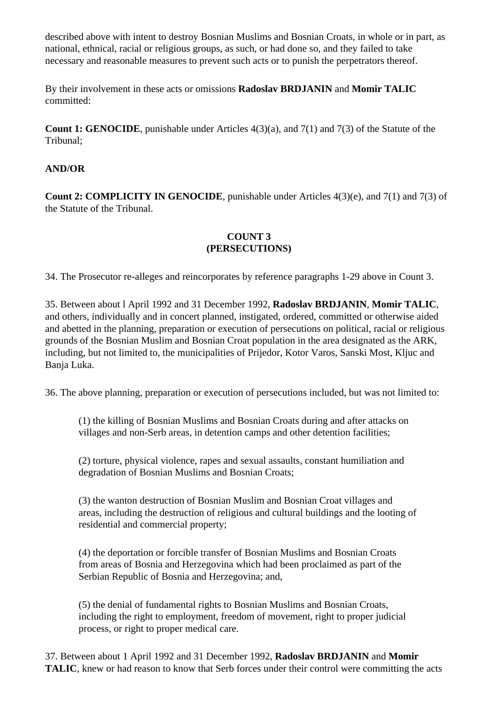described above with intent to destroy Bosnian Muslims and Bosnian Croats, in whole or in part, as national, ethnical, racial or religious groups, as such, or had done so, and they failed to take necessary and reasonable measures to prevent such acts or to punish the perpetrators thereof.

By their involvement in these acts or omissions **Radoslav BRDJANIN** and **Momir TALIC** committed:

**Count 1: GENOCIDE**, punishable under Articles 4(3)(a), and 7(1) and 7(3) of the Statute of the Tribunal;

### **AND/OR**

**Count 2: COMPLICITY IN GENOCIDE**, punishable under Articles 4(3)(e), and 7(1) and 7(3) of the Statute of the Tribunal.

### **COUNT 3 (PERSECUTIONS)**

34. The Prosecutor re-alleges and reincorporates by reference paragraphs 1-29 above in Count 3.

35. Between about l April 1992 and 31 December 1992, **Radoslav BRDJANIN**, **Momir TALIC**, and others, individually and in concert planned, instigated, ordered, committed or otherwise aided and abetted in the planning, preparation or execution of persecutions on political, racial or religious grounds of the Bosnian Muslim and Bosnian Croat population in the area designated as the ARK, including, but not limited to, the municipalities of Prijedor, Kotor Varos, Sanski Most, Kljuc and Banja Luka.

36. The above planning, preparation or execution of persecutions included, but was not limited to:

(1) the killing of Bosnian Muslims and Bosnian Croats during and after attacks on villages and non-Serb areas, in detention camps and other detention facilities;

(2) torture, physical violence, rapes and sexual assaults, constant humiliation and degradation of Bosnian Muslims and Bosnian Croats;

(3) the wanton destruction of Bosnian Muslim and Bosnian Croat villages and areas, including the destruction of religious and cultural buildings and the looting of residential and commercial property;

(4) the deportation or forcible transfer of Bosnian Muslims and Bosnian Croats from areas of Bosnia and Herzegovina which had been proclaimed as part of the Serbian Republic of Bosnia and Herzegovina; and,

(5) the denial of fundamental rights to Bosnian Muslims and Bosnian Croats, including the right to employment, freedom of movement, right to proper judicial process, or right to proper medical care.

37. Between about 1 April 1992 and 31 December 1992, **Radoslav BRDJANIN** and **Momir TALIC**, knew or had reason to know that Serb forces under their control were committing the acts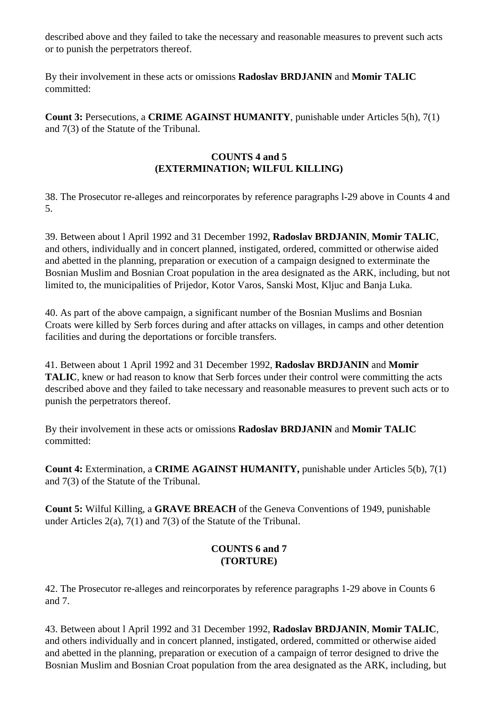described above and they failed to take the necessary and reasonable measures to prevent such acts or to punish the perpetrators thereof.

By their involvement in these acts or omissions **Radoslav BRDJANIN** and **Momir TALIC** committed:

**Count 3:** Persecutions, a **CRIME AGAINST HUMANITY**, punishable under Articles 5(h), 7(1) and 7(3) of the Statute of the Tribunal.

### **COUNTS 4 and 5 (EXTERMINATION; WILFUL KILLING)**

38. The Prosecutor re-alleges and reincorporates by reference paragraphs l-29 above in Counts 4 and 5.

39. Between about l April 1992 and 31 December 1992, **Radoslav BRDJANIN**, **Momir TALIC**, and others, individually and in concert planned, instigated, ordered, committed or otherwise aided and abetted in the planning, preparation or execution of a campaign designed to exterminate the Bosnian Muslim and Bosnian Croat population in the area designated as the ARK, including, but not limited to, the municipalities of Prijedor, Kotor Varos, Sanski Most, Kljuc and Banja Luka.

40. As part of the above campaign, a significant number of the Bosnian Muslims and Bosnian Croats were killed by Serb forces during and after attacks on villages, in camps and other detention facilities and during the deportations or forcible transfers.

41. Between about 1 April 1992 and 31 December 1992, **Radoslav BRDJANIN** and **Momir TALIC**, knew or had reason to know that Serb forces under their control were committing the acts described above and they failed to take necessary and reasonable measures to prevent such acts or to punish the perpetrators thereof.

By their involvement in these acts or omissions **Radoslav BRDJANIN** and **Momir TALIC** committed:

**Count 4:** Extermination, a **CRIME AGAINST HUMANITY,** punishable under Articles 5(b), 7(1) and 7(3) of the Statute of the Tribunal.

**Count 5:** Wilful Killing, a **GRAVE BREACH** of the Geneva Conventions of 1949, punishable under Articles 2(a), 7(1) and 7(3) of the Statute of the Tribunal.

## **COUNTS 6 and 7 (TORTURE)**

42. The Prosecutor re-alleges and reincorporates by reference paragraphs 1-29 above in Counts 6 and 7.

43. Between about l April 1992 and 31 December 1992, **Radoslav BRDJANIN**, **Momir TALIC**, and others individually and in concert planned, instigated, ordered, committed or otherwise aided and abetted in the planning, preparation or execution of a campaign of terror designed to drive the Bosnian Muslim and Bosnian Croat population from the area designated as the ARK, including, but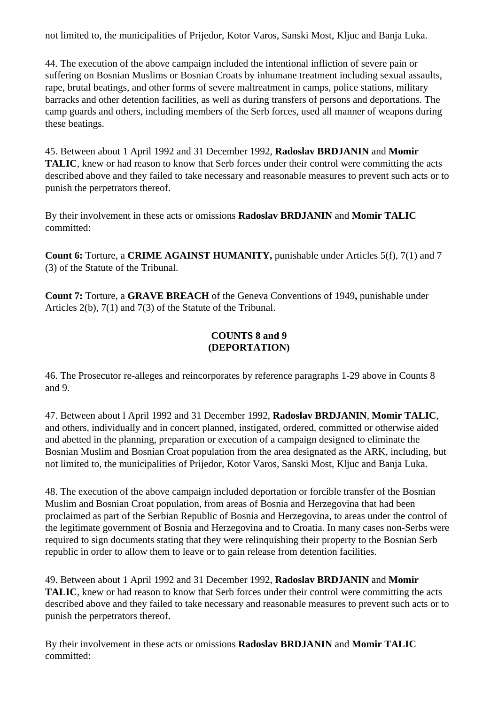not limited to, the municipalities of Prijedor, Kotor Varos, Sanski Most, Kljuc and Banja Luka.

44. The execution of the above campaign included the intentional infliction of severe pain or suffering on Bosnian Muslims or Bosnian Croats by inhumane treatment including sexual assaults, rape, brutal beatings, and other forms of severe maltreatment in camps, police stations, military barracks and other detention facilities, as well as during transfers of persons and deportations. The camp guards and others, including members of the Serb forces, used all manner of weapons during these beatings.

45. Between about 1 April 1992 and 31 December 1992, **Radoslav BRDJANIN** and **Momir TALIC**, knew or had reason to know that Serb forces under their control were committing the acts described above and they failed to take necessary and reasonable measures to prevent such acts or to punish the perpetrators thereof.

By their involvement in these acts or omissions **Radoslav BRDJANIN** and **Momir TALIC** committed:

**Count 6:** Torture, a **CRIME AGAINST HUMANITY,** punishable under Articles 5(f), 7(1) and 7 (3) of the Statute of the Tribunal.

**Count 7:** Torture, a **GRAVE BREACH** of the Geneva Conventions of 1949**,** punishable under Articles 2(b), 7(1) and 7(3) of the Statute of the Tribunal.

### **COUNTS 8 and 9 (DEPORTATION)**

46. The Prosecutor re-alleges and reincorporates by reference paragraphs 1-29 above in Counts 8 and 9.

47. Between about l April 1992 and 31 December 1992, **Radoslav BRDJANIN**, **Momir TALIC**, and others, individually and in concert planned, instigated, ordered, committed or otherwise aided and abetted in the planning, preparation or execution of a campaign designed to eliminate the Bosnian Muslim and Bosnian Croat population from the area designated as the ARK, including, but not limited to, the municipalities of Prijedor, Kotor Varos, Sanski Most, Kljuc and Banja Luka.

48. The execution of the above campaign included deportation or forcible transfer of the Bosnian Muslim and Bosnian Croat population, from areas of Bosnia and Herzegovina that had been proclaimed as part of the Serbian Republic of Bosnia and Herzegovina, to areas under the control of the legitimate government of Bosnia and Herzegovina and to Croatia. In many cases non-Serbs were required to sign documents stating that they were relinquishing their property to the Bosnian Serb republic in order to allow them to leave or to gain release from detention facilities.

49. Between about 1 April 1992 and 31 December 1992, **Radoslav BRDJANIN** and **Momir TALIC**, knew or had reason to know that Serb forces under their control were committing the acts described above and they failed to take necessary and reasonable measures to prevent such acts or to punish the perpetrators thereof.

By their involvement in these acts or omissions **Radoslav BRDJANIN** and **Momir TALIC** committed: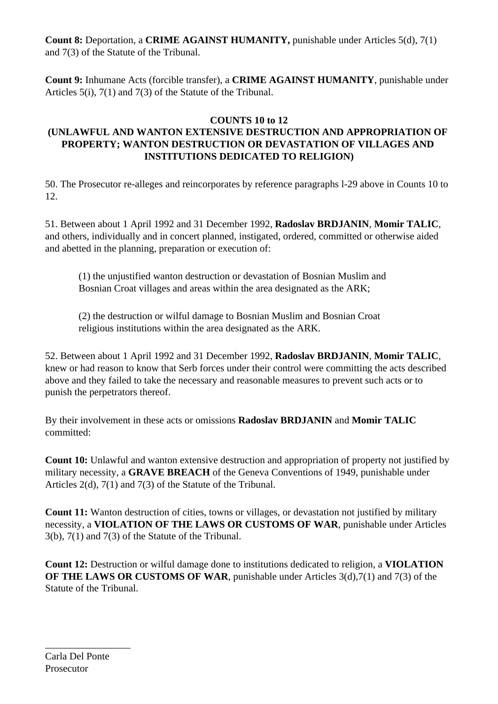**Count 8:** Deportation, a **CRIME AGAINST HUMANITY,** punishable under Articles 5(d), 7(1) and 7(3) of the Statute of the Tribunal.

**Count 9:** Inhumane Acts (forcible transfer), a **CRIME AGAINST HUMANITY**, punishable under Articles 5(i), 7(1) and 7(3) of the Statute of the Tribunal.

## **COUNTS 10 to 12**

## **(UNLAWFUL AND WANTON EXTENSIVE DESTRUCTION AND APPROPRIATION OF PROPERTY; WANTON DESTRUCTION OR DEVASTATION OF VILLAGES AND INSTITUTIONS DEDICATED TO RELIGION)**

50. The Prosecutor re-alleges and reincorporates by reference paragraphs l-29 above in Counts 10 to 12.

51. Between about 1 April 1992 and 31 December 1992, **Radoslav BRDJANIN**, **Momir TALIC**, and others, individually and in concert planned, instigated, ordered, committed or otherwise aided and abetted in the planning, preparation or execution of:

(1) the unjustified wanton destruction or devastation of Bosnian Muslim and Bosnian Croat villages and areas within the area designated as the ARK;

(2) the destruction or wilful damage to Bosnian Muslim and Bosnian Croat religious institutions within the area designated as the ARK.

52. Between about 1 April 1992 and 31 December 1992, **Radoslav BRDJANIN**, **Momir TALIC**, knew or had reason to know that Serb forces under their control were committing the acts described above and they failed to take the necessary and reasonable measures to prevent such acts or to punish the perpetrators thereof.

By their involvement in these acts or omissions **Radoslav BRDJANIN** and **Momir TALIC** committed:

**Count 10:** Unlawful and wanton extensive destruction and appropriation of property not justified by military necessity, a **GRAVE BREACH** of the Geneva Conventions of 1949, punishable under Articles 2(d), 7(1) and 7(3) of the Statute of the Tribunal.

**Count 11:** Wanton destruction of cities, towns or villages, or devastation not justified by military necessity, a **VIOLATION OF THE LAWS OR CUSTOMS OF WAR**, punishable under Articles 3(b), 7(1) and 7(3) of the Statute of the Tribunal.

**Count 12:** Destruction or wilful damage done to institutions dedicated to religion, a **VIOLATION OF THE LAWS OR CUSTOMS OF WAR**, punishable under Articles 3(d),7(1) and 7(3) of the Statute of the Tribunal.

 $\overline{\phantom{a}}$  , where  $\overline{\phantom{a}}$